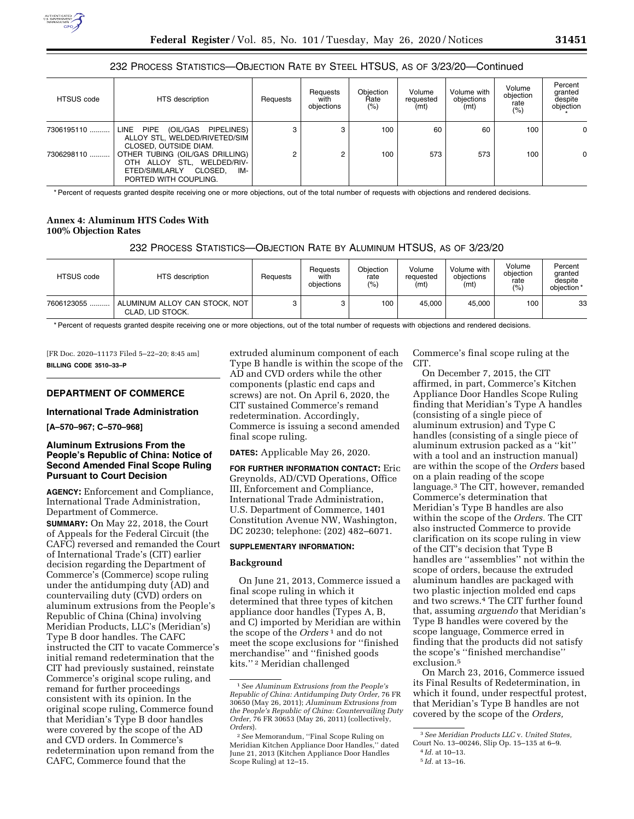# 232 PROCESS STATISTICS—OBJECTION RATE BY STEEL HTSUS, AS OF 3/23/20—Continued

| <b>HTSUS</b> code | HTS description                                                                                                            | Requests | Requests<br>with<br>obiections | <b>Obiection</b><br>Rate<br>$(\% )$ | Volume<br>requested<br>(mt) | Volume with<br>objections<br>(mt) | Volume<br>objection<br>rate<br>(%) | Percent<br>granted<br>despite<br>objection |
|-------------------|----------------------------------------------------------------------------------------------------------------------------|----------|--------------------------------|-------------------------------------|-----------------------------|-----------------------------------|------------------------------------|--------------------------------------------|
| 7306195110        | LINE PIPE<br>(OIL/GAS PIPELINES)<br>ALLOY STL, WELDED/RIVETED/SIM<br>CLOSED, OUTSIDE DIAM.                                 | 3        | 3                              | 100                                 | 60                          | 60                                | 100                                | 0                                          |
| 7306298110        | OTHER TUBING (OIL/GAS DRILLING)<br>OTH ALLOY STL. WELDED/RIV-<br>ETED/SIMILARLY<br>CLOSED.<br>IM-<br>PORTED WITH COUPLING. | 2        | 2                              | 100                                 | 573                         | 573                               | 100                                | 0                                          |

\* Percent of requests granted despite receiving one or more objections, out of the total number of requests with objections and rendered decisions.

# **Annex 4: Aluminum HTS Codes With 100% Objection Rates**

# 232 PROCESS STATISTICS—OBJECTION RATE BY ALUMINUM HTSUS, AS OF 3/23/20

| <b>HTSUS</b> code | HTS description                                   | Requests | Requests<br>with<br>obiections | Objection<br>rate<br>(9) | Volume<br>requested<br>(mt) | Volume with<br>obiections<br>(mt) | Volume<br>obiection<br>rate<br>(%) | Percent<br>granted<br>despite<br>objection* |
|-------------------|---------------------------------------------------|----------|--------------------------------|--------------------------|-----------------------------|-----------------------------------|------------------------------------|---------------------------------------------|
| 7606123055        | ALUMINUM ALLOY CAN STOCK, NOT<br>CLAD, LID STOCK. | 3        |                                | 100                      | 45.000                      | 45.000                            | 100                                | 33                                          |

\* Percent of requests granted despite receiving one or more objections, out of the total number of requests with objections and rendered decisions.

[FR Doc. 2020–11173 Filed 5–22–20; 8:45 am] **BILLING CODE 3510–33–P** 

# **DEPARTMENT OF COMMERCE**

#### **International Trade Administration**

**[A–570–967; C–570–968]** 

## **Aluminum Extrusions From the People's Republic of China: Notice of Second Amended Final Scope Ruling Pursuant to Court Decision**

**AGENCY:** Enforcement and Compliance, International Trade Administration, Department of Commerce.

**SUMMARY:** On May 22, 2018, the Court of Appeals for the Federal Circuit (the CAFC) reversed and remanded the Court of International Trade's (CIT) earlier decision regarding the Department of Commerce's (Commerce) scope ruling under the antidumping duty (AD) and countervailing duty (CVD) orders on aluminum extrusions from the People's Republic of China (China) involving Meridian Products, LLC's (Meridian's) Type B door handles. The CAFC instructed the CIT to vacate Commerce's initial remand redetermination that the CIT had previously sustained, reinstate Commerce's original scope ruling, and remand for further proceedings consistent with its opinion. In the original scope ruling, Commerce found that Meridian's Type B door handles were covered by the scope of the AD and CVD orders. In Commerce's redetermination upon remand from the CAFC, Commerce found that the

extruded aluminum component of each Type B handle is within the scope of the AD and CVD orders while the other components (plastic end caps and screws) are not. On April 6, 2020, the CIT sustained Commerce's remand redetermination. Accordingly, Commerce is issuing a second amended final scope ruling.

**DATES:** Applicable May 26, 2020.

**FOR FURTHER INFORMATION CONTACT:** Eric Greynolds, AD/CVD Operations, Office III, Enforcement and Compliance, International Trade Administration, U.S. Department of Commerce, 1401 Constitution Avenue NW, Washington, DC 20230; telephone: (202) 482–6071.

#### **SUPPLEMENTARY INFORMATION:**

#### **Background**

On June 21, 2013, Commerce issued a final scope ruling in which it determined that three types of kitchen appliance door handles (Types A, B, and C) imported by Meridian are within the scope of the *Orders* 1 and do not meet the scope exclusions for ''finished merchandise'' and ''finished goods kits.'' 2 Meridian challenged

Commerce's final scope ruling at the CIT.

On December 7, 2015, the CIT affirmed, in part, Commerce's Kitchen Appliance Door Handles Scope Ruling finding that Meridian's Type A handles (consisting of a single piece of aluminum extrusion) and Type C handles (consisting of a single piece of aluminum extrusion packed as a ''kit'' with a tool and an instruction manual) are within the scope of the *Orders* based on a plain reading of the scope language.3 The CIT, however, remanded Commerce's determination that Meridian's Type B handles are also within the scope of the *Orders.* The CIT also instructed Commerce to provide clarification on its scope ruling in view of the CIT's decision that Type B handles are ''assemblies'' not within the scope of orders, because the extruded aluminum handles are packaged with two plastic injection molded end caps and two screws.4 The CIT further found that, assuming *arguendo* that Meridian's Type B handles were covered by the scope language, Commerce erred in finding that the products did not satisfy the scope's ''finished merchandise'' exclusion.5

On March 23, 2016, Commerce issued its Final Results of Redetermination, in which it found, under respectful protest, that Meridian's Type B handles are not covered by the scope of the *Orders,* 

<sup>1</sup>*See Aluminum Extrusions from the People's Republic of China: Antidumping Duty Order,* 76 FR 30650 (May 26, 2011); *Aluminum Extrusions from the People's Republic of China: Countervailing Duty Order,* 76 FR 30653 (May 26, 2011) (collectively, *Orders*).

<sup>2</sup>*See* Memorandum, ''Final Scope Ruling on Meridian Kitchen Appliance Door Handles,'' dated June 21, 2013 (Kitchen Appliance Door Handles Scope Ruling) at 12–15.

<sup>3</sup>*See Meridian Products LLC* v. *United States,* 

Court No. 13–00246, Slip Op. 15–135 at 6–9.

<sup>4</sup> *Id.* at 10–13.

<sup>5</sup> *Id.* at 13–16.